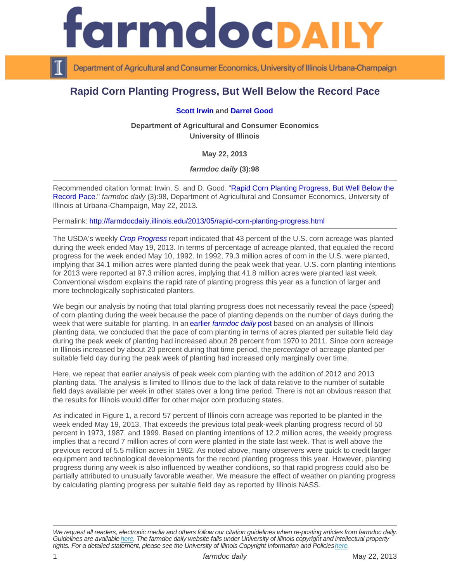## Rapid Corn Planting Progress, But Well Below the Record Pace

## [Scott Irwin](http://www.farmdoc.illinois.edu/irwin) and [Darrel Good](http://www.farmdoc.illinois.edu/good)

Department of Agricultural and Consumer Economics University of Illinois

May 22, 2013

farmdoc daily (3):98

Recommended citation format: Irwin, S. and D. Good. "[Rapid Corn Planting Progress, But Well Below the](http://farmdocdaily.illinois.edu/2013/05/rapid-corn-planting-progress.html)  [Record Pace.](http://farmdocdaily.illinois.edu/2013/05/rapid-corn-planting-progress.html)" farmdoc daily (3):98, Department of Agricultural and Consumer Economics, University of Illinois at Urbana-Champaign, May 22, 2013.

Permalink:<http://farmdocdaily.illinois.edu/2013/05/rapid-corn-planting-progress.html>

The USDA's weekly [Crop Progress](http://usda.mannlib.cornell.edu/usda/nass/CropProg//2010s/2013/CropProg-05-20-2013.pdf) report indicated that 43 percent of the U.S. corn acreage was planted during the week ended May 19, 2013. In terms of percentage of acreage planted, that equaled the record progress for the week ended May 10, 1992. In 1992, 79.3 million acres of corn in the U.S. were planted, implying that 34.1 million acres were planted during the peak week that year. U.S. corn planting intentions for 2013 were reported at 97.3 million acres, implying that 41.8 million acres were planted last week. Conventional wisdom explains the rapid rate of planting progress this year as a function of larger and more technologically sophisticated planters.

We begin our analysis by noting that total planting progress does not necessarily reveal the pace (speed) of corn planting during the week because the pace of planting depends on the number of days during the week that were suitable for planting. In an [earlier farmdoc daily](http://farmdocdaily.illinois.edu/2011/06/corn-planting-speed-revisited.html) post based on an analysis of Illinois planting data, we concluded that the pace of corn planting in terms of acres planted per suitable field day during the peak week of planting had increased about 28 percent from 1970 to 2011. Since corn acreage in Illinois increased by about 20 percent during that time period, the percentage of acreage planted per suitable field day during the peak week of planting had increased only marginally over time.

Here, we repeat that earlier analysis of peak week corn planting with the addition of 2012 and 2013 planting data. The analysis is limited to Illinois due to the lack of data relative to the number of suitable field days available per week in other states over a long time period. There is not an obvious reason that the results for Illinois would differ for other major corn producing states.

As indicated in Figure 1, a record 57 percent of Illinois corn acreage was reported to be planted in the week ended May 19, 2013. That exceeds the previous total peak-week planting progress record of 50 percent in 1973, 1987, and 1999. Based on planting intentions of 12.2 million acres, the weekly progress implies that a record 7 million acres of corn were planted in the state last week. That is well above the previous record of 5.5 million acres in 1982. As noted above, many observers were quick to credit larger equipment and technological developments for the record planting progress this year. However, planting progress during any week is also influenced by weather conditions, so that rapid progress could also be partially attributed to unusually favorable weather. We measure the effect of weather on planting progress by calculating planting progress per suitable field day as reported by Illinois NASS.

We request all readers, electronic media and others follow our citation guidelines when re-posting articles from farmdoc daily. Guidelines are available [here](http://farmdocdaily.illinois.edu/citationguide.html). The farmdoc daily website falls under University of Illinois copyright and intellectual property rights. For a detailed statement, please see the University of Illinois Copyright Information and Policies [here.](https://techservices.illinois.edu/office-cio)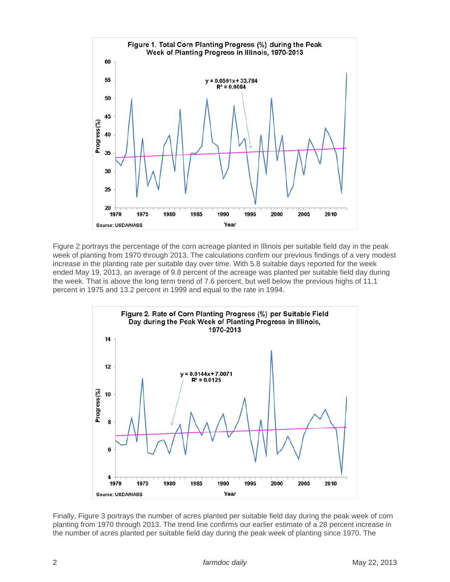

Figure 2 portrays the percentage of the corn acreage planted in Illinois per suitable field day in the peak week of planting from 1970 through 2013. The calculations confirm our previous findings of a very modest increase in the planting rate per suitable day over time. With 5.8 suitable days reported for the week ended May 19, 2013, an average of 9.8 percent of the acreage was planted per suitable field day during the week. That is above the long term trend of 7.6 percent, but well below the previous highs of 11.1 percent in 1975 and 13.2 percent in 1999 and equal to the rate in 1994.



Finally, Figure 3 portrays the number of acres planted per suitable field day during the peak week of corn planting from 1970 through 2013. The trend line confirms our earlier estimate of a 28 percent increase in the number of acres planted per suitable field day during the peak week of planting since 1970. The